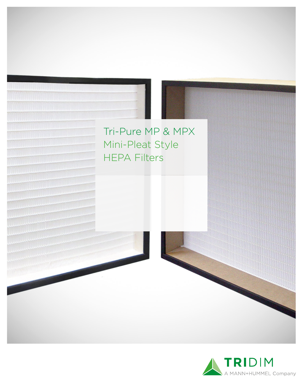

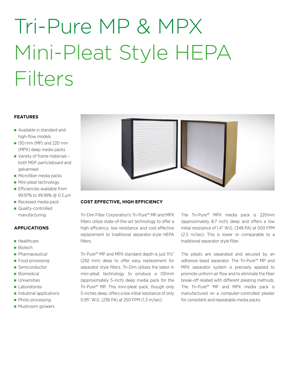# Tri-Pure MP & MPX Mini-Pleat Style HEPA **Filters**

#### **FEATURES**

- Available in standard and high-flow models
- **130 mm (MP) and 220 mm** (MPX) deep media packs
- Variety of frame materials both MDF particleboard and galvanneal
- **Microfiber media packs**
- **Mini-pleat technology**
- **Efficiencies available from** 99.97% to 99.99% @ 0.3 µm
- Recessed media pack
- Quality-controlled manufacturing

#### **APPLICATIONS**

- **Healthcare**
- **Biotech**
- **Pharmaceutical**
- **Food processing**
- Semiconductor
- **Biomedical**
- **Universities**
- Laboratories
- **Industrial applications**
- **Photo processing**
- **Mushroom growers**



#### **COST EFFECTIVE, HIGH EFFICIENCY**

Tri-Dim Filter Corporation's Tri-Pure™ MP and MPX filters utilize state-of-the-art technology to offer a high efficiency, low resistance and cost-effective replacement to traditional separator-style HEPA filters.

Tri-Pure™ MP and MPX standard depth is just 11½" (292 mm) deep to offer easy replacement for separator style filters. Tri-Dim utilizes the latest in mini-pleat technology to produce a 130mm (approximately 5-inch) deep media pack for the Tri-Pure™ MP. This mini-pleat pack, though only 5-inches deep, offers a low initial resistance of only 0.95" W.G. (236 PA) at 250 FPM (1.3 m/sec).

The Tri-Pure™ MPX media pack is 220mm (approximately 8.7 inch) deep and offers a low initial resistance of 1.4" W.G. (348 PA) at 500 FPM (2.5 m/sec). This is lower or comparable to a traditional separator style filter.

The pleats are separated and secured by an adhesive bead separator. The Tri-Pure™ MP and MPX separator system is precisely applied to promote uniform air flow and to eliminate the fiber break-off related with different pleating methods. The Tri-Pure™ MP and MPX media pack is manufactured on a computer-controlled pleater for consistent and repeatable media packs.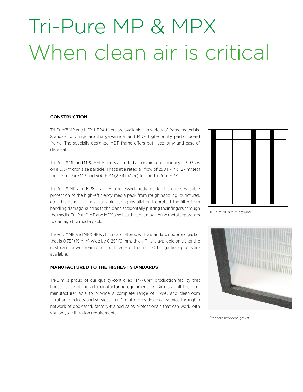### Tri-Pure MP & MPX When clean air is critical

#### **CONSTRUCTION**

Tri-Pure™ MP and MPX HEPA filters are available in a variety of frame materials. Standard offerings are the galvanneal and MDF high-density particleboard frame. The specially-designed MDF frame offers both economy and ease of disposal.

Tri-Pure™ MP and MPX HEPA filters are rated at a minimum efficiency of 99.97% on a 0.3-micron size particle. That's at a rated air flow of 250 FPM (1.27 m/sec) for the Tri-Pure MP, and 500 FPM (2.54 m/sec) for the Tri-Pure MPX.

Tri-Pure™ MP and MPX features a recessed media pack. This offers valuable protection of the high-efficiency media pack from rough handling, punctures, etc. This benefit is most valuable during installation to protect the filter from handling damage, such as technicians accidentally putting their fingers through the media. Tri-Pure™ MP and MPX also has the advantage of no metal separators to damage the media pack.

Tri-Pure™ MP and MPX HEPA filters are offered with a standard neoprene gasket that is 0.75" (19 mm) wide by 0.25" (6 mm) thick. This is available on either the upstream, downstream or on both faces of the filter. Other gasket options are available.

#### **MANUFACTURED TO THE HIGHEST STANDARDS**

Tri-Dim is proud of our quality-controlled, Tri-Pure™ production facility that houses state-of-the-art manufacturing equipment. Tri-Dim is a full-line filter manufacturer able to provide a complete range of HVAC and cleanroom filtration products and services. Tri-Dim also provides local service through a network of dedicated, factory-trained sales professionals that can work with you on your filtration requirements.



Tri-Pure MP & MPX drawing



Standard neoprene gasket